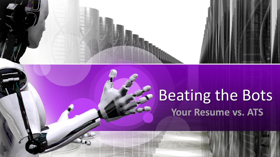

# Beating the Bots **Your Resume vs. ATS**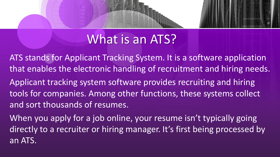### What is an ATS?

- ATS stands for Applicant Tracking System. It is a software application that enables the electronic handling of recruitment and hiring needs. Applicant tracking system software provides recruiting and hiring tools for companies. Among other functions, these systems collect and sort thousands of resumes.
- When you apply for a job online, your resume isn't typically going directly to a recruiter or hiring manager. It's first being processed by an ATS.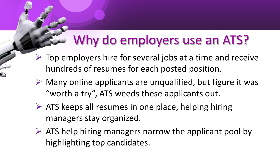## Why do employers use an ATS?

- $\triangleright$  Top employers hire for several jobs at a time and receive hundreds of resumes for each posted position.
- $\triangleright$  Many online applicants are unqualified, but figure it was "worth a try", ATS weeds these applicants out.
- $\triangleright$  ATS keeps all resumes in one place, helping hiring managers stay organized.
- $\triangleright$  ATS help hiring managers narrow the applicant pool by highlighting top candidates.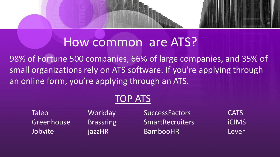# How common are ATS?

98% of Fortune 500 companies, 66% of large companies, and 35% of small organizations rely on ATS software. If you're applying through an online form, you're applying through an ATS.

#### TOP ATS

Taleo Workday SuccessFactors CATS Greenhouse Brassring SmartRecruiters iCIMS Jobvite jazzHR BambooHR Lever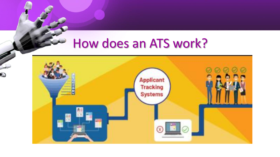### How does an ATS work?

Ô

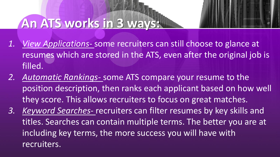### **An ATS works in 3 ways:**

- *1. View Applications-* some recruiters can still choose to glance at resumes which are stored in the ATS, even after the original job is filled.
- *2. Automatic Rankings-* some ATS compare your resume to the position description, then ranks each applicant based on how well they score. This allows recruiters to focus on great matches.
- *3. Keyword Searches-* recruiters can filter resumes by key skills and titles. Searches can contain multiple terms. The better you are at including key terms, the more success you will have with recruiters.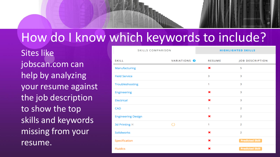### How do I know which keywords to include?

Sites like jobscan.com can help by analyzing your resume against the job description to show the top skills and keywords missing from your resume.

| <b>SKILLS COMPARISON</b>  |                         | <b>HIGHLIGHTED SKILLS</b> |                        |
|---------------------------|-------------------------|---------------------------|------------------------|
| <b>SKILL</b>              | VARIATIONS <sup>@</sup> | <b>RESUME</b>             | <b>JOB DESCRIPTION</b> |
| Manufacturing             |                         | ×                         | 5                      |
| <b>Field Service</b>      |                         | 3                         | 3                      |
| Troubleshooting           |                         | 1                         | 3                      |
| <b>Engineering</b>        |                         | ×                         | 3                      |
| Electrical                |                         | ×                         | 3                      |
| <b>CAD</b>                |                         | 1                         | $\overline{2}$         |
| <b>Engineering Design</b> |                         | ×                         | $\overline{2}$         |
| 3d Printing $\times$      | $\curvearrowright$      | 1                         | $\overline{2}$         |
| <b>Solidworks</b>         |                         | ×                         | $\overline{2}$         |
| Specification             |                         | ×                         | <b>Predicted Skill</b> |
| <b>Fluidics</b>           |                         | ×                         | <b>Predicted Skill</b> |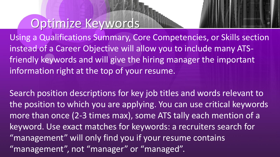#### Optimize Keywords



Using a Qualifications Summary, Core Competencies, or Skills section instead of a Career Objective will allow you to include many ATSfriendly keywords and will give the hiring manager the important information right at the top of your resume.

Search position descriptions for key job titles and words relevant to the position to which you are applying. You can use critical keywords more than once (2-3 times max), some ATS tally each mention of a keyword. Use exact matches for keywords: a recruiters search for "management" will only find you if your resume contains "management", not "manager" or "managed".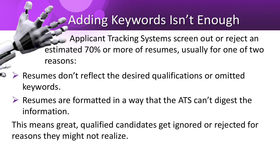### Adding Keywords Isn't Enough

**Applicant Tracking Systems screen out or reject an** estimated 70% or more of resumes, usually for one of two reasons:

- $\triangleright$  Resumes don't reflect the desired qualifications or omitted keywords.
	- $\triangleright$  Resumes are formatted in a way that the ATS can't digest the information.

This means great, qualified candidates get ignored or rejected for reasons they might not realize.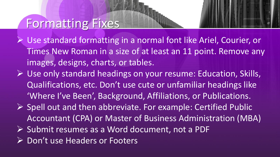#### Formatting Fixes

- ➢ Use standard formatting in a normal font like Ariel, Courier, or Times New Roman in a size of at least an 11 point. Remove any images, designs, charts, or tables.
- ➢ Use only standard headings on your resume: Education, Skills, Qualifications, etc. Don't use cute or unfamiliar headings like 'Where I've Been', Background, Affiliations, or Publications.
- ➢ Spell out and then abbreviate. For example: Certified Public Accountant (CPA) or Master of Business Administration (MBA)
- ➢ Submit resumes as a Word document, not a PDF
- ➢ Don't use Headers or Footers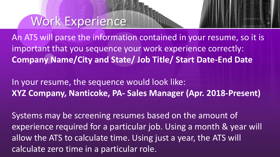#### Work Experience

An ATS will parse the information contained in your resume, so it is important that you sequence your work experience correctly: **Company Name/City and State/ Job Title/ Start Date-End Date**

In your resume, the sequence would look like: **XYZ Company, Nanticoke, PA- Sales Manager (Apr. 2018-Present)**

Systems may be screening resumes based on the amount of experience required for a particular job. Using a month & year will allow the ATS to calculate time. Using just a year, the ATS will calculate zero time in a particular role.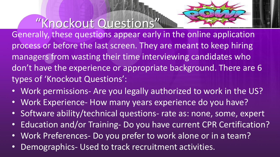

"Knockout Questions" Generally, these questions appear early in the online application process or before the last screen. They are meant to keep hiring managers from wasting their time interviewing candidates who don't have the experience or appropriate background. There are 6 types of 'Knockout Questions':

- Work permissions- Are you legally authorized to work in the US?
- Work Experience- How many years experience do you have?
- Software ability/technical questions- rate as: none, some, expert
- Education and/or Training- Do you have current CPR Certification?
- Work Preferences- Do you prefer to work alone or in a team?
- Demographics- Used to track recruitment activities.